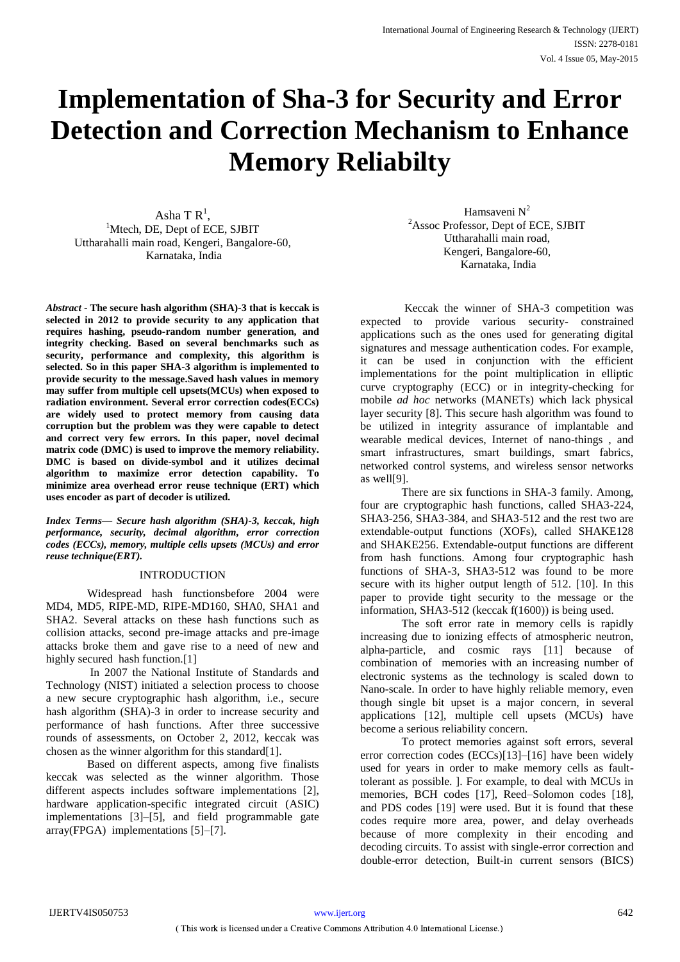# **Implementation of Sha-3 for Security and Error Detection and Correction Mechanism to Enhance Memory Reliabilty**

Asha T  $\mathsf{R}^1$ , <sup>1</sup>Mtech, DE, Dept of ECE, SJBIT Uttharahalli main road, Kengeri, Bangalore-60, Karnataka, India

*Abstract -* **The secure hash algorithm (SHA)-3 that is keccak is selected in 2012 to provide security to any application that requires hashing, pseudo-random number generation, and integrity checking. Based on several benchmarks such as security, performance and complexity, this algorithm is selected. So in this paper SHA-3 algorithm is implemented to provide security to the message.Saved hash values in memory may suffer from multiple cell upsets(MCUs) when exposed to radiation environment. Several error correction codes(ECCs) are widely used to protect memory from causing data corruption but the problem was they were capable to detect and correct very few errors. In this paper, novel decimal matrix code (DMC) is used to improve the memory reliability. DMC is based on divide-symbol and it utilizes decimal algorithm to maximize error detection capability. To minimize area overhead error reuse technique (ERT) which uses encoder as part of decoder is utilized.** 

*Index Terms***—** *Secure hash algorithm (SHA)-3, keccak, high performance, security, decimal algorithm, error correction codes (ECCs), memory, multiple cells upsets (MCUs) and error reuse technique(ERT).*

# INTRODUCTION

Widespread hash functionsbefore 2004 were MD4, MD5, RIPE-MD, RIPE-MD160, SHA0, SHA1 and SHA2. Several attacks on these hash functions such as collision attacks, second pre-image attacks and pre-image attacks broke them and gave rise to a need of new and highly secured hash function.<sup>[1]</sup>

In 2007 the National Institute of Standards and Technology (NIST) initiated a selection process to choose a new secure cryptographic hash algorithm, i.e., secure hash algorithm (SHA)-3 in order to increase security and performance of hash functions. After three successive rounds of assessments, on October 2, 2012, keccak was chosen as the winner algorithm for this standard[1].

Based on different aspects, among five finalists keccak was selected as the winner algorithm. Those different aspects includes software implementations [2], hardware application-specific integrated circuit (ASIC) implementations [3]–[5], and field programmable gate array(FPGA) implementations [5]–[7].

Hamsaveni  $N^2$ <sup>2</sup>Assoc Professor, Dept of ECE, SJBIT Uttharahalli main road, Kengeri, Bangalore-60, Karnataka, India

Keccak the winner of SHA-3 competition was expected to provide various security- constrained applications such as the ones used for generating digital signatures and message authentication codes. For example, it can be used in conjunction with the efficient implementations for the point multiplication in elliptic curve cryptography (ECC) or in integrity-checking for mobile *ad hoc* networks (MANETs) which lack physical layer security [8]. This secure hash algorithm was found to be utilized in integrity assurance of implantable and wearable medical devices, Internet of nano-things , and smart infrastructures, smart buildings, smart fabrics, networked control systems, and wireless sensor networks as well[9].

There are six functions in SHA-3 family. Among, four are cryptographic hash functions, called SHA3-224, SHA3-256, SHA3-384, and SHA3-512 and the rest two are extendable-output functions (XOFs), called SHAKE128 and SHAKE256. Extendable-output functions are different from hash functions. Among four cryptographic hash functions of SHA-3, SHA3-512 was found to be more secure with its higher output length of 512. [10]. In this paper to provide tight security to the message or the information, SHA3-512 (keccak f(1600)) is being used.

The soft error rate in memory cells is rapidly increasing due to ionizing effects of atmospheric neutron, alpha-particle, and cosmic rays [11] because of combination of memories with an increasing number of electronic systems as the technology is scaled down to Nano-scale. In order to have highly reliable memory, even though single bit upset is a major concern, in several applications [12], multiple cell upsets (MCUs) have become a serious reliability concern.

To protect memories against soft errors, several error correction codes (ECCs)[13]–[16] have been widely used for years in order to make memory cells as faulttolerant as possible. ]. For example, to deal with MCUs in memories, BCH codes [17], Reed–Solomon codes [18], and PDS codes [19] were used. But it is found that these codes require more area, power, and delay overheads because of more complexity in their encoding and decoding circuits. To assist with single-error correction and double-error detection, Built-in current sensors (BICS)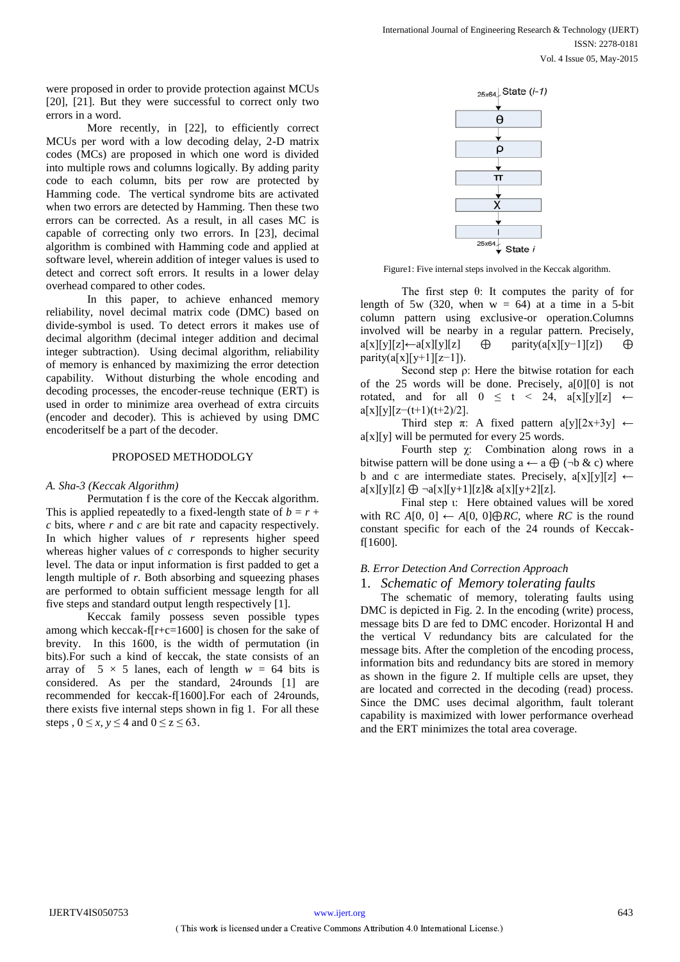were proposed in order to provide protection against MCUs [20], [21]. But they were successful to correct only two errors in a word.

More recently, in [22], to efficiently correct MCUs per word with a low decoding delay, 2-D matrix codes (MCs) are proposed in which one word is divided into multiple rows and columns logically. By adding parity code to each column, bits per row are protected by Hamming code. The vertical syndrome bits are activated when two errors are detected by Hamming. Then these two errors can be corrected. As a result, in all cases MC is capable of correcting only two errors. In [23], decimal algorithm is combined with Hamming code and applied at software level, wherein addition of integer values is used to detect and correct soft errors. It results in a lower delay overhead compared to other codes.

In this paper, to achieve enhanced memory reliability, novel decimal matrix code (DMC) based on divide-symbol is used. To detect errors it makes use of decimal algorithm (decimal integer addition and decimal integer subtraction). Using decimal algorithm, reliability of memory is enhanced by maximizing the error detection capability. Without disturbing the whole encoding and decoding processes, the encoder-reuse technique (ERT) is used in order to minimize area overhead of extra circuits (encoder and decoder). This is achieved by using DMC encoderitself be a part of the decoder.

# PROPOSED METHODOLGY

# *A. Sha-3 (Keccak Algorithm)*

Permutation f is the core of the Keccak algorithm. This is applied repeatedly to a fixed-length state of  $b = r +$ *c* bits, where *r* and *c* are bit rate and capacity respectively. In which higher values of *r* represents higher speed whereas higher values of *c* corresponds to higher security level. The data or input information is first padded to get a length multiple of *r*. Both absorbing and squeezing phases are performed to obtain sufficient message length for all five steps and standard output length respectively [1].

Keccak family possess seven possible types among which keccak-f[r+c=1600] is chosen for the sake of brevity. In this 1600, is the width of permutation (in bits).For such a kind of keccak, the state consists of an array of  $5 \times 5$  lanes, each of length  $w = 64$  bits is considered. As per the standard, 24rounds [1] are recommended for keccak-f[1600].For each of 24rounds, there exists five internal steps shown in fig 1. For all these steps ,  $0 \le x, y \le 4$  and  $0 \le z \le 63$ .



Figure1: Five internal steps involved in the Keccak algorithm.

The first step θ: It computes the parity of for length of 5w (320, when  $w = 64$ ) at a time in a 5-bit column pattern using exclusive-or operation.Columns involved will be nearby in a regular pattern. Precisely,  $a[x][y][z] \leftarrow a[x][y][z]$  ⊕ parity $(a[x][y-1][z])$  ⊕  $parity(a[x][y+1][z-1]).$ 

Second step ρ: Here the bitwise rotation for each of the 25 words will be done. Precisely, a[0][0] is not rotated, and for all  $0 \leq t \leq 24$ ,  $a[x][y][z] \leftarrow$ a[x][y][z−(t+1)(t+2)/2].

Third step  $\pi$ : A fixed pattern a[y][2x+3y]  $\leftarrow$  $a[x][y]$  will be permuted for every 25 words.

Fourth step χ: Combination along rows in a bitwise pattern will be done using  $a \leftarrow a \oplus (\neg b \& c)$  where b and c are intermediate states. Precisely,  $a[x][y][z] \leftarrow$  $a[x][y][z] \oplus \neg a[x][y+1][z] \& a[x][y+2][z].$ 

Final step ι: Here obtained values will be xored with RC *A*[0*,* 0] ← *A*[0*,* 0] $oplus RC$ , where *RC* is the round constant specific for each of the 24 rounds of Keccakf[1600].

# *B. Error Detection And Correction Approach*

# 1. *Schematic of Memory tolerating faults*

The schematic of memory, tolerating faults using DMC is depicted in Fig. 2. In the encoding (write) process, message bits D are fed to DMC encoder. Horizontal H and the vertical V redundancy bits are calculated for the message bits. After the completion of the encoding process, information bits and redundancy bits are stored in memory as shown in the figure 2. If multiple cells are upset, they are located and corrected in the decoding (read) process. Since the DMC uses decimal algorithm, fault tolerant capability is maximized with lower performance overhead and the ERT minimizes the total area coverage.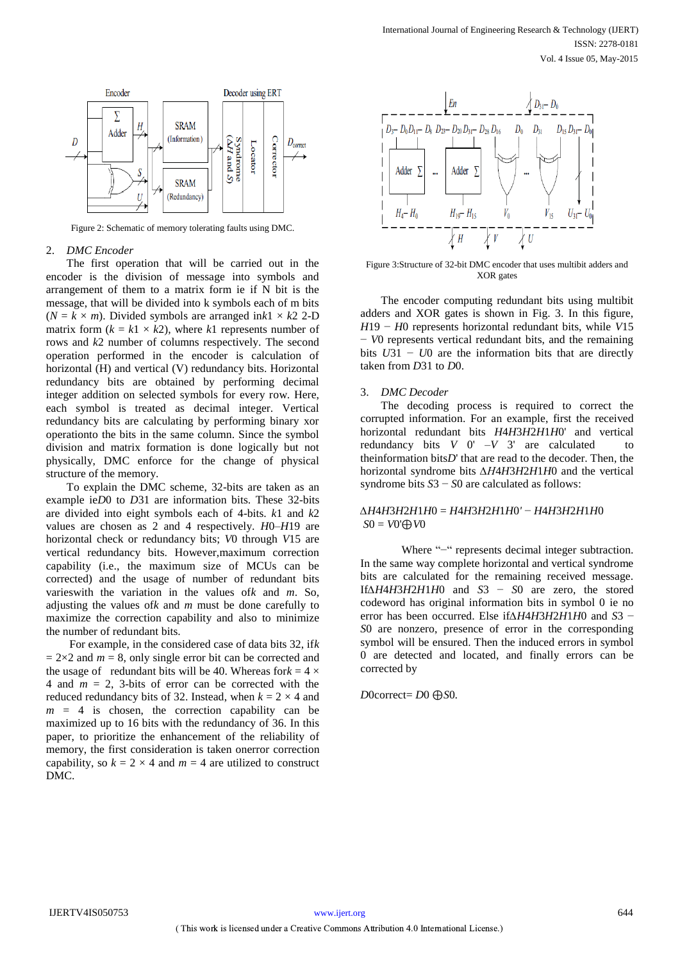

Figure 2: Schematic of memory tolerating faults using DMC.

#### 2. *DMC Encoder*

The first operation that will be carried out in the encoder is the division of message into symbols and arrangement of them to a matrix form ie if N bit is the message, that will be divided into k symbols each of m bits  $(N = k \times m)$ . Divided symbols are arranged in $k1 \times k2$  2-D matrix form  $(k = k1 \times k2)$ , where  $k1$  represents number of rows and *k*2 number of columns respectively. The second operation performed in the encoder is calculation of horizontal (H) and vertical (V) redundancy bits. Horizontal redundancy bits are obtained by performing decimal integer addition on selected symbols for every row. Here, each symbol is treated as decimal integer. Vertical redundancy bits are calculating by performing binary xor operationto the bits in the same column. Since the symbol division and matrix formation is done logically but not physically, DMC enforce for the change of physical structure of the memory.

To explain the DMC scheme, 32-bits are taken as an example ie*D*0 to *D*31 are information bits. These 32-bits are divided into eight symbols each of 4-bits. *k*1 and *k*2 values are chosen as 2 and 4 respectively. *H*0–*H*19 are horizontal check or redundancy bits; *V*0 through *V*15 are vertical redundancy bits. However,maximum correction capability (i.e., the maximum size of MCUs can be corrected) and the usage of number of redundant bits varieswith the variation in the values of*k* and *m*. So, adjusting the values of*k* and *m* must be done carefully to maximize the correction capability and also to minimize the number of redundant bits.

For example, in the considered case of data bits 32, if*k*   $= 2\times2$  and  $m = 8$ , only single error bit can be corrected and the usage of redundant bits will be 40. Whereas for $k = 4 \times$ 4 and  $m = 2$ , 3-bits of error can be corrected with the reduced redundancy bits of 32. Instead, when  $k = 2 \times 4$  and  $m = 4$  is chosen, the correction capability can be maximized up to 16 bits with the redundancy of 36. In this paper, to prioritize the enhancement of the reliability of memory, the first consideration is taken onerror correction capability, so  $k = 2 \times 4$  and  $m = 4$  are utilized to construct DMC.



Figure 3:Structure of 32-bit DMC encoder that uses multibit adders and XOR gates

The encoder computing redundant bits using multibit adders and XOR gates is shown in Fig. 3. In this figure, *H*19 − *H*0 represents horizontal redundant bits, while *V*15 − *V*0 represents vertical redundant bits, and the remaining bits *U*31 − *U*0 are the information bits that are directly taken from *D*31 to *D*0.

## 3. *DMC Decoder*

The decoding process is required to correct the corrupted information. For an example, first the received horizontal redundant bits *H*4*H*3*H*2*H*1*H*0' and vertical redundancy bits  $V = V - V$  3' are calculated to theinformation bits*D*' that are read to the decoder. Then, the horizontal syndrome bits *∆H*4*H*3*H*2*H*1*H*0 and the vertical syndrome bits *S*3 − *S*0 are calculated as follows:

# *∆H*4*H*3*H*2*H*1*H*0 = *H*4*H*3*H*2*H*1*H*0*'* − *H*4*H*3*H*2*H*1*H*0 *S*0 = *V*0'⊕*V*0

Where "−" represents decimal integer subtraction. In the same way complete horizontal and vertical syndrome bits are calculated for the remaining received message. If*∆H*4*H*3*H*2*H*1*H*0 and *S*3 − *S*0 are zero, the stored codeword has original information bits in symbol 0 ie no error has been occurred. Else if*∆H*4*H*3*H*2*H*1*H*0 and *S*3 − *S*0 are nonzero, presence of error in the corresponding symbol will be ensured. Then the induced errors in symbol 0 are detected and located, and finally errors can be corrected by

*D*0correct= *D*0 ⊕*S*0*.*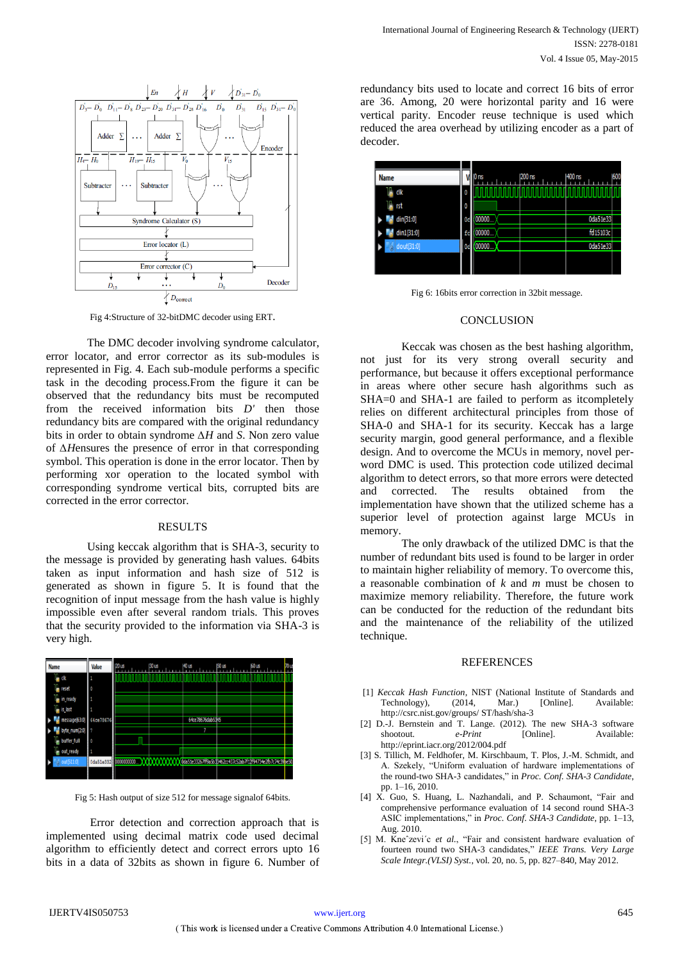

Fig 4:Structure of 32-bitDMC decoder using ERT.

The DMC decoder involving syndrome calculator, error locator, and error corrector as its sub-modules is represented in Fig. 4. Each sub-module performs a specific task in the decoding process.From the figure it can be observed that the redundancy bits must be recomputed from the received information bits *D'* then those redundancy bits are compared with the original redundancy bits in order to obtain syndrome *∆H* and *S*. Non zero value of *∆H*ensures the presence of error in that corresponding symbol. This operation is done in the error locator. Then by performing xor operation to the located symbol with corresponding syndrome vertical bits, corrupted bits are corrected in the error corrector.

## RESULTS

Using keccak algorithm that is SHA-3, security to the message is provided by generating hash values. 64bits taken as input information and hash size of 512 is generated as shown in figure 5. It is found that the recognition of input message from the hash value is highly impossible even after several random trials. This proves that the security provided to the information via SHA-3 is very high.

| <b>Name</b>                       | Value     | $20$ us                                                                                   | 130 us | <b>140 us</b>    | <b>150 us</b> | 60 us | 70 us |
|-----------------------------------|-----------|-------------------------------------------------------------------------------------------|--------|------------------|---------------|-------|-------|
| l <sub>in</sub> dk                |           |                                                                                           |        |                  |               |       |       |
| $\mathbb{I}_{\mathbf{H}}$ reset   | Ō         |                                                                                           |        |                  |               |       |       |
| $\mathbb{I}^n$ in_ready           |           |                                                                                           |        |                  |               |       |       |
| $\mathbb{I}_{\mathbb{H}}$ is last |           |                                                                                           |        |                  |               |       |       |
| message[63:0]                     | 64ce78676 |                                                                                           |        | 64ce78676dab5345 |               |       |       |
| byte_num[2:0]                     |           |                                                                                           |        | 7                |               |       |       |
| <b>buffer</b> full                | O         |                                                                                           |        |                  |               |       |       |
| Ъ<br>out_ready                    |           |                                                                                           |        |                  |               |       |       |
| $\frac{1}{2}$   out [511:0]<br>ъ  |           | 0da51e332 0000000000 XXXXXXXXXXXXda51e33267ff9a5b39462cc437c52ab7f12f94734e2fb7c74c39e50. |        |                  |               |       |       |
|                                   |           |                                                                                           |        |                  |               |       |       |

Fig 5: Hash output of size 512 for message signalof 64bits.

Error detection and correction approach that is implemented using decimal matrix code used decimal algorithm to efficiently detect and correct errors upto 16 bits in a data of 32bits as shown in figure 6. Number of redundancy bits used to locate and correct 16 bits of error are 36. Among, 20 were horizontal parity and 16 were vertical parity. Encoder reuse technique is used which reduced the area overhead by utilizing encoder as a part of decoder.



Fig 6: 16bits error correction in 32bit message.

## **CONCLUSION**

Keccak was chosen as the best hashing algorithm, not just for its very strong overall security and performance, but because it offers exceptional performance in areas where other secure hash algorithms such as SHA=0 and SHA-1 are failed to perform as itcompletely relies on different architectural principles from those of SHA-0 and SHA-1 for its security. Keccak has a large security margin, good general performance, and a flexible design. And to overcome the MCUs in memory, novel perword DMC is used. This protection code utilized decimal algorithm to detect errors, so that more errors were detected and corrected. The results obtained from the implementation have shown that the utilized scheme has a superior level of protection against large MCUs in memory.

The only drawback of the utilized DMC is that the number of redundant bits used is found to be larger in order to maintain higher reliability of memory. To overcome this, a reasonable combination of *k* and *m* must be chosen to maximize memory reliability. Therefore, the future work can be conducted for the reduction of the redundant bits and the maintenance of the reliability of the utilized technique.

# **REFERENCES**

- [1] *Keccak Hash Function*, NIST (National Institute of Standards and Technology), (2014, Mar.) [Online]. Available: http://csrc.nist.gov/groups/ ST/hash/sha-3
- [2] D.-J. Bernstein and T. Lange. (2012). The new SHA-3 software shootout. *e-Print* [Online]. Available: http://eprint.iacr.org/2012/004.pdf
- [3] S. Tillich, M. Feldhofer, M. Kirschbaum, T. Plos, J.-M. Schmidt, and A. Szekely, "Uniform evaluation of hardware implementations of the round-two SHA-3 candidates," in *Proc. Conf. SHA-3 Candidate*, pp. 1–16, 2010.
- [4] X. Guo, S. Huang, L. Nazhandali, and P. Schaumont, "Fair and comprehensive performance evaluation of 14 second round SHA-3 ASIC implementations," in *Proc. Conf. SHA-3 Candidate*, pp. 1–13, Aug. 2010.
- [5] M. Kneˆzevi´c *et al.*, "Fair and consistent hardware evaluation of fourteen round two SHA-3 candidates," *IEEE Trans. Very Large Scale Integr.(VLSI) Syst.*, vol. 20, no. 5, pp. 827–840, May 2012.